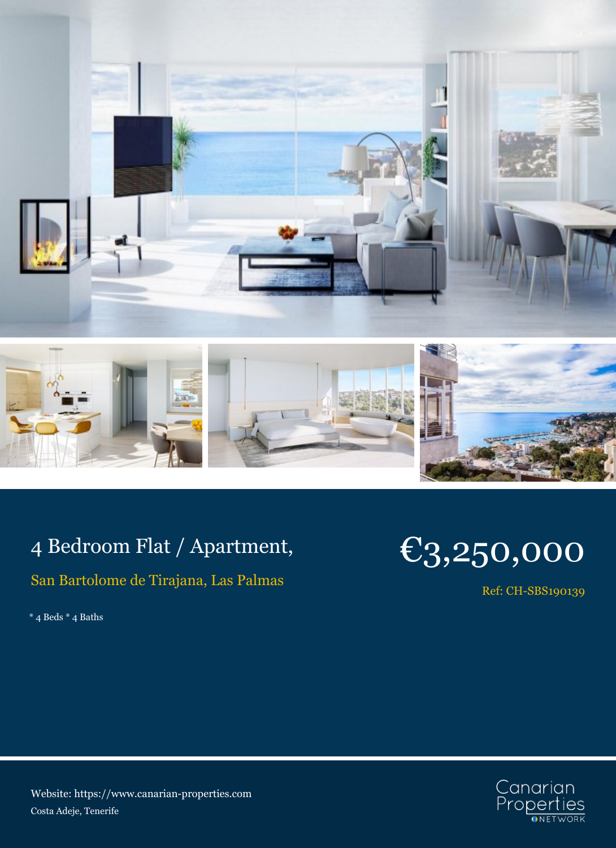



## 4 Bedroom Flat / Apartment,

## San Bartolome de Tirajana, Las Palmas

 $^{\ast}$  4 Beds  $^{\ast}$  4 Baths

## €3,250,000

Ref: CH-SBS190139



Website: https://www.canarian-properties.com Costa Adeje, Tenerife